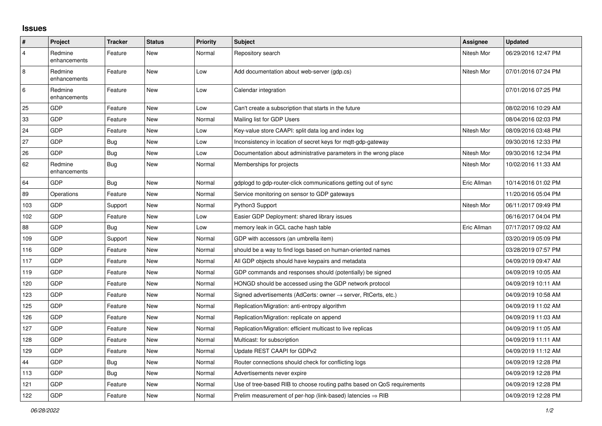## **Issues**

| #              | Project                 | <b>Tracker</b> | <b>Status</b> | <b>Priority</b> | <b>Subject</b>                                                             | Assignee    | <b>Updated</b>      |
|----------------|-------------------------|----------------|---------------|-----------------|----------------------------------------------------------------------------|-------------|---------------------|
| 4              | Redmine<br>enhancements | Feature        | <b>New</b>    | Normal          | Repository search                                                          | Nitesh Mor  | 06/29/2016 12:47 PM |
| $\overline{8}$ | Redmine<br>enhancements | Feature        | New           | Low             | Add documentation about web-server (gdp.cs)                                | Nitesh Mor  | 07/01/2016 07:24 PM |
| 6              | Redmine<br>enhancements | Feature        | <b>New</b>    | Low             | Calendar integration                                                       |             | 07/01/2016 07:25 PM |
| 25             | <b>GDP</b>              | Feature        | New           | Low             | Can't create a subscription that starts in the future                      |             | 08/02/2016 10:29 AM |
| 33             | GDP                     | Feature        | New           | Normal          | Mailing list for GDP Users                                                 |             | 08/04/2016 02:03 PM |
| 24             | <b>GDP</b>              | Feature        | New           | Low             | Key-value store CAAPI: split data log and index log                        | Nitesh Mor  | 08/09/2016 03:48 PM |
| 27             | GDP                     | <b>Bug</b>     | <b>New</b>    | Low             | Inconsistency in location of secret keys for mqtt-gdp-gateway              |             | 09/30/2016 12:33 PM |
| 26             | <b>GDP</b>              | <b>Bug</b>     | <b>New</b>    | Low             | Documentation about administrative parameters in the wrong place           | Nitesh Mor  | 09/30/2016 12:34 PM |
| 62             | Redmine<br>enhancements | <b>Bug</b>     | New           | Normal          | Memberships for projects                                                   | Nitesh Mor  | 10/02/2016 11:33 AM |
| 64             | <b>GDP</b>              | Bug            | <b>New</b>    | Normal          | gdplogd to gdp-router-click communications getting out of sync             | Eric Allman | 10/14/2016 01:02 PM |
| 89             | Operations              | Feature        | <b>New</b>    | Normal          | Service monitoring on sensor to GDP gateways                               |             | 11/20/2016 05:04 PM |
| 103            | <b>GDP</b>              | Support        | New           | Normal          | Python3 Support                                                            | Nitesh Mor  | 06/11/2017 09:49 PM |
| 102            | GDP                     | Feature        | New           | Low             | Easier GDP Deployment: shared library issues                               |             | 06/16/2017 04:04 PM |
| 88             | <b>GDP</b>              | Bug            | New           | Low             | memory leak in GCL cache hash table                                        | Eric Allman | 07/17/2017 09:02 AM |
| 109            | GDP                     | Support        | <b>New</b>    | Normal          | GDP with accessors (an umbrella item)                                      |             | 03/20/2019 05:09 PM |
| 116            | <b>GDP</b>              | Feature        | <b>New</b>    | Normal          | should be a way to find logs based on human-oriented names                 |             | 03/28/2019 07:57 PM |
| 117            | <b>GDP</b>              | Feature        | New           | Normal          | All GDP objects should have keypairs and metadata                          |             | 04/09/2019 09:47 AM |
| 119            | GDP                     | Feature        | <b>New</b>    | Normal          | GDP commands and responses should (potentially) be signed                  |             | 04/09/2019 10:05 AM |
| 120            | <b>GDP</b>              | Feature        | New           | Normal          | HONGD should be accessed using the GDP network protocol                    |             | 04/09/2019 10:11 AM |
| 123            | <b>GDP</b>              | Feature        | New           | Normal          | Signed advertisements (AdCerts: owner $\rightarrow$ server, RtCerts, etc.) |             | 04/09/2019 10:58 AM |
| 125            | <b>GDP</b>              | Feature        | <b>New</b>    | Normal          | Replication/Migration: anti-entropy algorithm                              |             | 04/09/2019 11:02 AM |
| 126            | <b>GDP</b>              | Feature        | New           | Normal          | Replication/Migration: replicate on append                                 |             | 04/09/2019 11:03 AM |
| 127            | GDP                     | Feature        | <b>New</b>    | Normal          | Replication/Migration: efficient multicast to live replicas                |             | 04/09/2019 11:05 AM |
| 128            | <b>GDP</b>              | Feature        | <b>New</b>    | Normal          | Multicast: for subscription                                                |             | 04/09/2019 11:11 AM |
| 129            | GDP                     | Feature        | New           | Normal          | Update REST CAAPI for GDPv2                                                |             | 04/09/2019 11:12 AM |
| 44             | GDP                     | Bug            | New           | Normal          | Router connections should check for conflicting logs                       |             | 04/09/2019 12:28 PM |
| 113            | <b>GDP</b>              | Bug            | New           | Normal          | Advertisements never expire                                                |             | 04/09/2019 12:28 PM |
| 121            | <b>GDP</b>              | Feature        | <b>New</b>    | Normal          | Use of tree-based RIB to choose routing paths based on QoS requirements    |             | 04/09/2019 12:28 PM |
| 122            | GDP                     | Feature        | New           | Normal          | Prelim measurement of per-hop (link-based) latencies $\Rightarrow$ RIB     |             | 04/09/2019 12:28 PM |